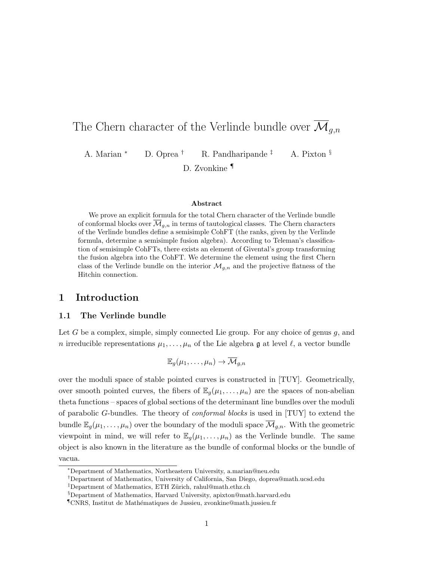# The Chern character of the Verlinde bundle over  $\overline{\mathcal{M}}_{g,n}$

A. Marian <sup>∗</sup> D. Oprea † R. Pandharipande ‡ A. Pixton §

D. Zvonkine ¶

## Abstract

We prove an explicit formula for the total Chern character of the Verlinde bundle of conformal blocks over  $\overline{\mathcal{M}}_{q,n}$  in terms of tautological classes. The Chern characters of the Verlinde bundles define a semisimple CohFT (the ranks, given by the Verlinde formula, determine a semisimple fusion algebra). According to Teleman's classification of semisimple CohFTs, there exists an element of Givental's group transforming the fusion algebra into the CohFT. We determine the element using the first Chern class of the Verlinde bundle on the interior  $\mathcal{M}_{q,n}$  and the projective flatness of the Hitchin connection.

## 1 Introduction

#### 1.1 The Verlinde bundle

Let G be a complex, simple, simply connected Lie group. For any choice of genus  $g$ , and n irreducible representations  $\mu_1, \ldots, \mu_n$  of the Lie algebra g at level  $\ell$ , a vector bundle

$$
\mathbb{E}_g(\mu_1,\ldots,\mu_n)\to \overline{\mathcal{M}}_{g,n}
$$

over the moduli space of stable pointed curves is constructed in [TUY]. Geometrically, over smooth pointed curves, the fibers of  $\mathbb{E}_g(\mu_1,\ldots,\mu_n)$  are the spaces of non-abelian theta functions – spaces of global sections of the determinant line bundles over the moduli of parabolic G-bundles. The theory of conformal blocks is used in [TUY] to extend the bundle  $\mathbb{E}_g(\mu_1,\ldots,\mu_n)$  over the boundary of the moduli space  $\overline{\mathcal{M}}_{g,n}$ . With the geometric viewpoint in mind, we will refer to  $\mathbb{E}_g(\mu_1,\ldots,\mu_n)$  as the Verlinde bundle. The same object is also known in the literature as the bundle of conformal blocks or the bundle of vacua.

<sup>∗</sup>Department of Mathematics, Northeastern University, a.marian@neu.edu

<sup>†</sup>Department of Mathematics, University of California, San Diego, doprea@math.ucsd.edu

<sup>&</sup>lt;sup>‡</sup>Department of Mathematics, ETH Zürich, rahul@math.ethz.ch

<sup>§</sup>Department of Mathematics, Harvard University, apixton@math.harvard.edu

<sup>¶</sup>CNRS, Institut de Math´ematiques de Jussieu, zvonkine@math.jussieu.fr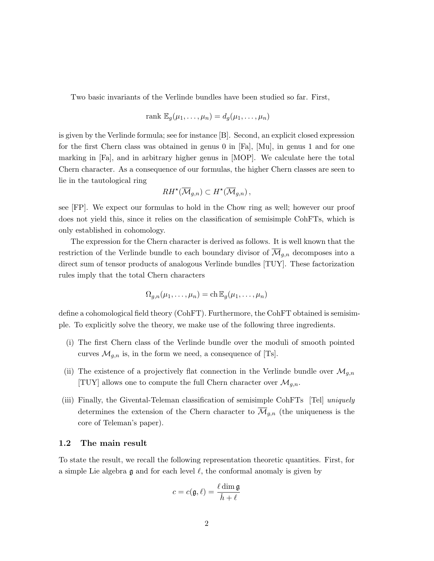Two basic invariants of the Verlinde bundles have been studied so far. First,

$$
rank \mathbb{E}_g(\mu_1,\ldots,\mu_n)=d_g(\mu_1,\ldots,\mu_n)
$$

is given by the Verlinde formula; see for instance [B]. Second, an explicit closed expression for the first Chern class was obtained in genus 0 in [Fa], [Mu], in genus 1 and for one marking in [Fa], and in arbitrary higher genus in [MOP]. We calculate here the total Chern character. As a consequence of our formulas, the higher Chern classes are seen to lie in the tautological ring

$$
RH^*(\overline{\mathcal{M}}_{g,n}) \subset H^*(\overline{\mathcal{M}}_{g,n}),
$$

see [FP]. We expect our formulas to hold in the Chow ring as well; however our proof does not yield this, since it relies on the classification of semisimple CohFTs, which is only established in cohomology.

The expression for the Chern character is derived as follows. It is well known that the restriction of the Verlinde bundle to each boundary divisor of  $\mathcal{M}_{g,n}$  decomposes into a direct sum of tensor products of analogous Verlinde bundles [TUY]. These factorization rules imply that the total Chern characters

$$
\Omega_{g,n}(\mu_1,\ldots,\mu_n)=\mathrm{ch}\,\mathbb{E}_g(\mu_1,\ldots,\mu_n)
$$

define a cohomological field theory (CohFT). Furthermore, the CohFT obtained is semisimple. To explicitly solve the theory, we make use of the following three ingredients.

- (i) The first Chern class of the Verlinde bundle over the moduli of smooth pointed curves  $\mathcal{M}_{g,n}$  is, in the form we need, a consequence of [Ts].
- (ii) The existence of a projectively flat connection in the Verlinde bundle over  $\mathcal{M}_{g,n}$ [TUY] allows one to compute the full Chern character over  $\mathcal{M}_{g,n}$ .
- (iii) Finally, the Givental-Teleman classification of semisimple CohFTs [Tel] uniquely determines the extension of the Chern character to  $\overline{\mathcal{M}}_{g,n}$  (the uniqueness is the core of Teleman's paper).

#### 1.2 The main result

To state the result, we recall the following representation theoretic quantities. First, for a simple Lie algebra  $\mathfrak g$  and for each level  $\ell$ , the conformal anomaly is given by

$$
c = c(\mathfrak{g}, \ell) = \frac{\ell \dim \mathfrak{g}}{\check{h} + \ell}
$$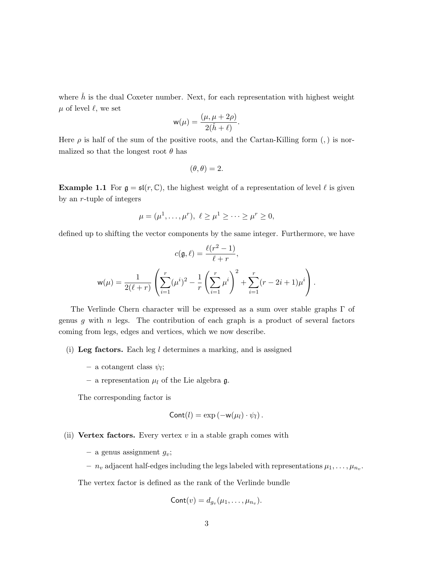where  $\check{h}$  is the dual Coxeter number. Next, for each representation with highest weight  $\mu$  of level  $\ell$ , we set

$$
w(\mu) = \frac{(\mu, \mu + 2\rho)}{2(\check{h} + \ell)}.
$$

Here  $\rho$  is half of the sum of the positive roots, and the Cartan-Killing form (,) is normalized so that the longest root  $\theta$  has

$$
(\theta,\theta)=2.
$$

**Example 1.1** For  $\mathfrak{g} = \mathfrak{sl}(r, \mathbb{C})$ , the highest weight of a representation of level  $\ell$  is given by an r-tuple of integers

$$
\mu = (\mu^1, \dots, \mu^r), \ \ell \ge \mu^1 \ge \dots \ge \mu^r \ge 0,
$$

defined up to shifting the vector components by the same integer. Furthermore, we have

$$
c(\mathfrak{g}, \ell) = \frac{\ell(r^2 - 1)}{\ell + r},
$$
  

$$
\mathsf{w}(\mu) = \frac{1}{2(\ell + r)} \left( \sum_{i=1}^r (\mu^i)^2 - \frac{1}{r} \left( \sum_{i=1}^r \mu^i \right)^2 + \sum_{i=1}^r (r - 2i + 1)\mu^i \right).
$$

The Verlinde Chern character will be expressed as a sum over stable graphs Γ of genus g with  $n$  legs. The contribution of each graph is a product of several factors coming from legs, edges and vertices, which we now describe.

- (i) Leg factors. Each leg  $l$  determines a marking, and is assigned
	- $-$  a cotangent class  $\psi_l$ ;
	- a representation  $\mu_l$  of the Lie algebra  $\mathfrak{g}$ .

The corresponding factor is

$$
Cont(l) = \exp(-w(\mu_l) \cdot \psi_l).
$$

(ii) Vertex factors. Every vertex  $v$  in a stable graph comes with

- a genus assignment  $g_v$ ;
- $n_v$  adjacent half-edges including the legs labeled with representations  $\mu_1, \ldots, \mu_{n_v}$ .

The vertex factor is defined as the rank of the Verlinde bundle

$$
Cont(v) = d_{g_v}(\mu_1,\ldots,\mu_{n_v}).
$$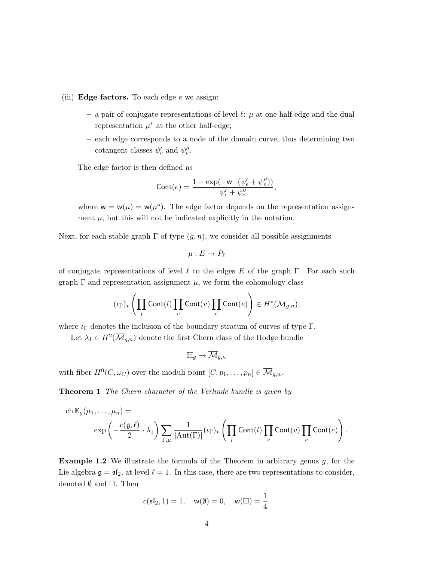- (iii) Edge factors. To each edge  $e$  we assign:
	- a pair of conjugate representations of level  $\ell: \mu$  at one half-edge and the dual representation  $\mu^*$  at the other half-edge;
	- each edge corresponds to a node of the domain curve, thus determining two cotangent classes  $\psi'_e$  and  $\psi''_e$ .

The edge factor is then defined as

$$
\text{Cont}(e) = \frac{1-\exp(-\mathbf{w}\cdot(\psi_e' + \psi_e''))}{\psi_e' + \psi_e''},
$$

where  $w = w(\mu) = w(\mu^*)$ . The edge factor depends on the representation assignment  $\mu$ , but this will not be indicated explicitly in the notation.

Next, for each stable graph  $\Gamma$  of type  $(g, n)$ , we consider all possible assignments

$$
\mu:E\to P_\ell
$$

of conjugate representations of level  $\ell$  to the edges E of the graph Γ. For each such graph  $\Gamma$  and representation assignment  $\mu$ , we form the cohomology class

$$
(\iota_{\Gamma})_{\star}\left(\prod_{l} \text{Cont}(l) \prod_{v} \text{Cont}(v) \prod_{e} \text{Cont}(e)\right) \in H^{\star}(\overline{\mathcal{M}}_{g,n}),
$$

where  $\iota_{\Gamma}$  denotes the inclusion of the boundary stratum of curves of type  $\Gamma$ .

Let  $\lambda_1 \in H^2(\overline{\mathcal{M}}_{g,n})$  denote the first Chern class of the Hodge bundle

$$
\mathbb{H}_g \to \overline{\mathcal{M}}_{g,n}
$$

with fiber  $H^0(C, \omega_C)$  over the moduli point  $[C, p_1, \ldots, p_n] \in \overline{\mathcal{M}}_{g,n}$ .

Theorem 1 The Chern character of the Verlinde bundle is given by

ch 
$$
\mathbb{E}_g(\mu_1, ..., \mu_n) =
$$
  
\n
$$
\exp\left(-\frac{c(\mathfrak{g}, \ell)}{2} \cdot \lambda_1\right) \sum_{\Gamma, \mu} \frac{1}{|\mathrm{Aut}(\Gamma)|} (\iota_{\Gamma})_{\star} \left(\prod_l \mathrm{Cont}(l) \prod_v \mathrm{Cont}(v) \prod_e \mathrm{Cont}(e)\right).
$$

**Example 1.2** We illustrate the formula of the Theorem in arbitrary genus  $g$ , for the Lie algebra  $\mathfrak{g} = \mathfrak{sl}_2$ , at level  $\ell = 1$ . In this case, there are two representations to consider, denoted  $\emptyset$  and  $\square$ . Then

$$
c(\mathfrak{sl}_2,1)=1,\quad \mathsf{w}(\emptyset)=0,\quad \mathsf{w}(\square)=\frac{1}{4}.
$$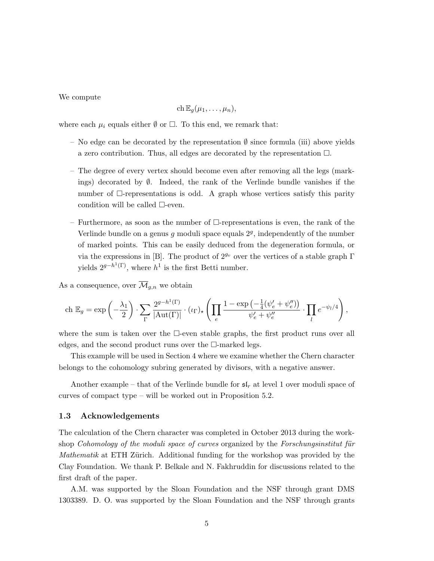We compute

$$
\mathrm{ch}\, \mathbb{E}_g(\mu_1,\ldots,\mu_n),
$$

where each  $\mu_i$  equals either  $\emptyset$  or  $\Box$ . To this end, we remark that:

- No edge can be decorated by the representation  $\emptyset$  since formula (iii) above yields a zero contribution. Thus, all edges are decorated by the representation  $\Box$ .
- The degree of every vertex should become even after removing all the legs (markings) decorated by  $\emptyset$ . Indeed, the rank of the Verlinde bundle vanishes if the number of  $\Box$ -representations is odd. A graph whose vertices satisfy this parity condition will be called  $\square$ -even.
- Furthermore, as soon as the number of  $\Box$ -representations is even, the rank of the Verlinde bundle on a genus  $g$  moduli space equals  $2<sup>g</sup>$ , independently of the number of marked points. This can be easily deduced from the degeneration formula, or via the expressions in [B]. The product of  $2^{g_v}$  over the vertices of a stable graph  $\Gamma$ yields  $2^{g-h^1(\Gamma)}$ , where  $h^1$  is the first Betti number.

As a consequence, over  $\overline{\mathcal{M}}_{q,n}$  we obtain

$$
\text{ch }\mathbb{E}_g = \exp\left(-\frac{\lambda_1}{2}\right) \cdot \sum_{\Gamma} \frac{2^{g-h^1(\Gamma)}}{|\text{Aut}(\Gamma)|} \cdot (\iota_{\Gamma})_{\star} \left(\prod_e \frac{1-\exp\left(-\frac{1}{4}(\psi_e' + \psi_e'')\right)}{\psi_e' + \psi_e''} \cdot \prod_l e^{-\psi_l/4}\right),\,
$$

where the sum is taken over the  $\Box$ -even stable graphs, the first product runs over all edges, and the second product runs over the  $\Box$ -marked legs.

This example will be used in Section 4 where we examine whether the Chern character belongs to the cohomology subring generated by divisors, with a negative answer.

Another example – that of the Verlinde bundle for  $\mathfrak{sl}_r$  at level 1 over moduli space of curves of compact type – will be worked out in Proposition 5.2.

#### 1.3 Acknowledgements

The calculation of the Chern character was completed in October 2013 during the workshop Cohomology of the moduli space of curves organized by the Forschungs institut für Mathematik at ETH Zürich. Additional funding for the workshop was provided by the Clay Foundation. We thank P. Belkale and N. Fakhruddin for discussions related to the first draft of the paper.

A.M. was supported by the Sloan Foundation and the NSF through grant DMS 1303389. D. O. was supported by the Sloan Foundation and the NSF through grants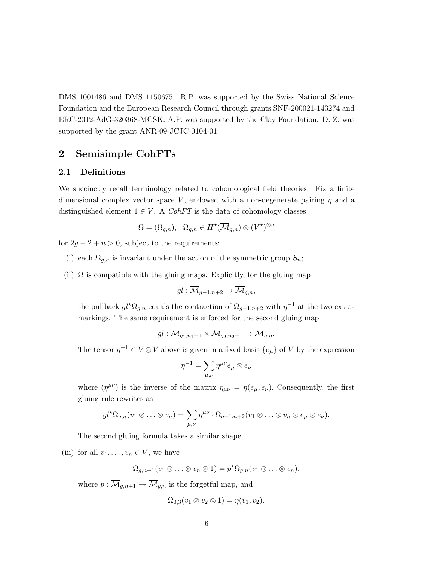DMS 1001486 and DMS 1150675. R.P. was supported by the Swiss National Science Foundation and the European Research Council through grants SNF-200021-143274 and ERC-2012-AdG-320368-MCSK. A.P. was supported by the Clay Foundation. D. Z. was supported by the grant ANR-09-JCJC-0104-01.

# 2 Semisimple CohFTs

#### 2.1 Definitions

We succinctly recall terminology related to cohomological field theories. Fix a finite dimensional complex vector space V, endowed with a non-degenerate pairing  $\eta$  and a distinguished element  $1 \in V$ . A CohFT is the data of cohomology classes

$$
\Omega = (\Omega_{g,n}), \quad \Omega_{g,n} \in H^{\star}(\overline{\mathcal{M}}_{g,n}) \otimes (V^{\star})^{\otimes n}
$$

for  $2g - 2 + n > 0$ , subject to the requirements:

- (i) each  $\Omega_{g,n}$  is invariant under the action of the symmetric group  $S_n$ ;
- (ii)  $\Omega$  is compatible with the gluing maps. Explicitly, for the gluing map

$$
gl:\overline{\mathcal{M}}_{g-1,n+2}\to\overline{\mathcal{M}}_{g,n},
$$

the pullback  $gl^{\star}\Omega_{g,n}$  equals the contraction of  $\Omega_{g-1,n+2}$  with  $\eta^{-1}$  at the two extramarkings. The same requirement is enforced for the second gluing map

$$
gl: \overline{\mathcal{M}}_{g_1, n_1+1} \times \overline{\mathcal{M}}_{g_2, n_2+1} \to \overline{\mathcal{M}}_{g,n}.
$$

The tensor  $\eta^{-1} \in V \otimes V$  above is given in a fixed basis  $\{e_{\mu}\}\$  of V by the expression

$$
\eta^{-1}=\sum_{\mu,\nu}\eta^{\mu\nu}e_\mu\otimes e_\nu
$$

where  $(\eta^{\mu\nu})$  is the inverse of the matrix  $\eta_{\mu\nu} = \eta(e_{\mu}, e_{\nu})$ . Consequently, the first gluing rule rewrites as

$$
gl^{\star}\Omega_{g,n}(v_1\otimes\ldots\otimes v_n)=\sum_{\mu,\nu}\eta^{\mu\nu}\cdot\Omega_{g-1,n+2}(v_1\otimes\ldots\otimes v_n\otimes e_{\mu}\otimes e_{\nu}).
$$

The second gluing formula takes a similar shape.

(iii) for all  $v_1, \ldots, v_n \in V$ , we have

$$
\Omega_{g,n+1}(v_1\otimes\ldots\otimes v_n\otimes 1)=p^{\star}\Omega_{g,n}(v_1\otimes\ldots\otimes v_n),
$$

where  $p : \overline{\mathcal{M}}_{g,n+1} \to \overline{\mathcal{M}}_{g,n}$  is the forgetful map, and

$$
\Omega_{0,3}(v_1\otimes v_2\otimes 1)=\eta(v_1,v_2).
$$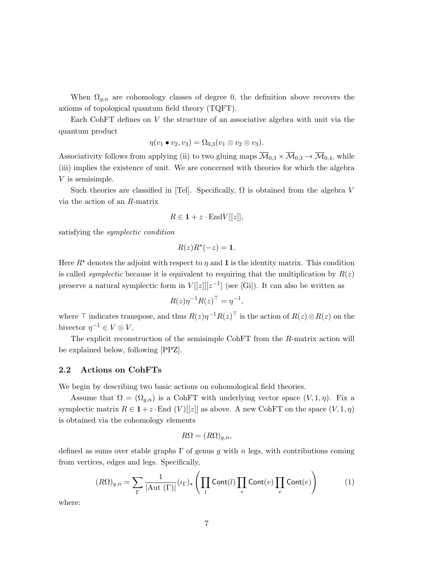When  $\Omega_{g,n}$  are cohomology classes of degree 0, the definition above recovers the axioms of topological quantum field theory (TQFT).

Each CohFT defines on V the structure of an associative algebra with unit via the quantum product

$$
\eta(v_1 \bullet v_2, v_3) = \Omega_{0,3}(v_1 \otimes v_2 \otimes v_3).
$$

Associativity follows from applying (ii) to two gluing maps  $\overline{\mathcal{M}}_{0,3} \times \overline{\mathcal{M}}_{0,3} \to \overline{\mathcal{M}}_{0,4}$ , while (iii) implies the existence of unit. We are concerned with theories for which the algebra V is semisimple.

Such theories are classified in [Tel]. Specifically,  $\Omega$  is obtained from the algebra V via the action of an R-matrix

$$
R \in \mathbf{1} + z \cdot \text{End} V[[z]],
$$

satisfying the symplectic condition

$$
R(z)R^{\star}(-z) = 1.
$$

Here  $R^*$  denotes the adjoint with respect to  $\eta$  and 1 is the identity matrix. This condition is called *symplectic* because it is equivalent to requiring that the multiplication by  $R(z)$ preserve a natural symplectic form in  $V[[z]][z^{-1}]$  (see [Gi]). It can also be written as

$$
R(z)\eta^{-1}R(z)^{\top} = \eta^{-1},
$$

where  $\top$  indicates transpose, and thus  $R(z)\eta^{-1}R(z)$ <sup> $\top$ </sup> is the action of  $R(z) \otimes R(z)$  on the bivector  $\eta^{-1} \in V \otimes V$ .

The explicit reconstruction of the semisimple CohFT from the R-matrix action will be explained below, following [PPZ].

#### 2.2 Actions on CohFTs

We begin by describing two basic actions on cohomological field theories.

Assume that  $\Omega = (\Omega_{g,n})$  is a CohFT with underlying vector space  $(V,1,\eta)$ . Fix a symplectic matrix  $R \in \mathbf{1} + z \cdot \text{End } (V)[[z]]$  as above. A new CohFT on the space  $(V, 1, \eta)$ is obtained via the cohomology elements

$$
R\Omega = (R\Omega)_{g,n},
$$

defined as sums over stable graphs  $\Gamma$  of genus g with n legs, with contributions coming from vertices, edges and legs. Specifically,

$$
(R\Omega)_{g,n} = \sum_{\Gamma} \frac{1}{|\text{Aut }(\Gamma)|} (\iota_{\Gamma})_{\star} \left( \prod_{l} \text{Cont}(l) \prod_{v} \text{Cont}(v) \prod_{e} \text{Cont}(e) \right) \tag{1}
$$

where: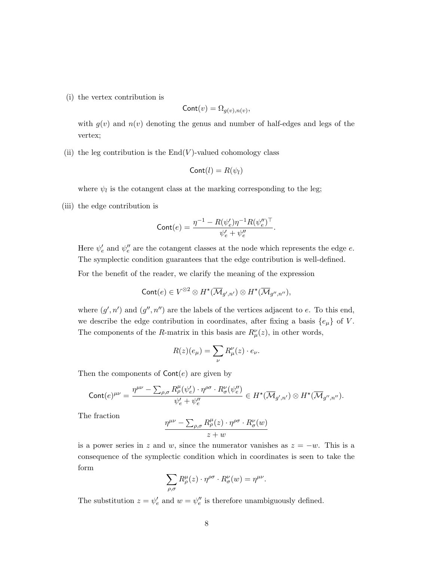(i) the vertex contribution is

$$
Cont(v) = \Omega_{g(v),n(v)},
$$

with  $g(v)$  and  $n(v)$  denoting the genus and number of half-edges and legs of the vertex;

(ii) the leg contribution is the  $End(V)$ -valued cohomology class

$$
Cont(l) = R(\psi_l)
$$

where  $\psi_l$  is the cotangent class at the marking corresponding to the leg;

(iii) the edge contribution is

$$
\mathrm{Cont}(e) = \frac{\eta^{-1} - R(\psi_e')\eta^{-1}R(\psi_e'')^\top}{\psi_e' + \psi_e''}.
$$

Here  $\psi'_e$  and  $\psi''_e$  are the cotangent classes at the node which represents the edge  $e$ . The symplectic condition guarantees that the edge contribution is well-defined.

For the benefit of the reader, we clarify the meaning of the expression

$$
\mathsf{Cont}(e) \in V^{\otimes 2} \otimes H^{\star}(\overline{\mathcal{M}}_{g',n'}) \otimes H^{\star}(\overline{\mathcal{M}}_{g'',n''}),
$$

where  $(g', n')$  and  $(g'', n'')$  are the labels of the vertices adjacent to e. To this end, we describe the edge contribution in coordinates, after fixing a basis  $\{e_{\mu}\}\$  of V. The components of the R-matrix in this basis are  $R^{\nu}_{\mu}(z)$ , in other words,

$$
R(z)(e_{\mu}) = \sum_{\nu} R_{\mu}^{\nu}(z) \cdot e_{\nu}.
$$

Then the components of  $Cont(e)$  are given by

$$
\mathrm{Cont}(e)^{\mu\nu}=\frac{\eta^{\mu\nu}-\sum_{\rho,\sigma}R^\mu_\rho(\psi_e')\cdot \eta^{\rho\sigma}\cdot R^\nu_\sigma(\psi_e'')}{\psi_e'+\psi_e''}\in H^\star(\overline{\mathcal{M}}_{g',n'})\otimes H^\star(\overline{\mathcal{M}}_{g'',n''}).
$$

The fraction

$$
\frac{\eta^{\mu\nu} - \sum_{\rho,\sigma} R^{\mu}_{\rho}(z) \cdot \eta^{\rho\sigma} \cdot R^{\nu}_{\sigma}(w)}{z + w}
$$

is a power series in z and w, since the numerator vanishes as  $z = -w$ . This is a consequence of the symplectic condition which in coordinates is seen to take the form

$$
\sum_{\rho,\sigma} R^\mu_\rho(z) \cdot \eta^{\rho\sigma} \cdot R^\nu_\sigma(w) = \eta^{\mu\nu}.
$$

The substitution  $z = \psi'_e$  and  $w = \psi''_e$  is therefore unambiguously defined.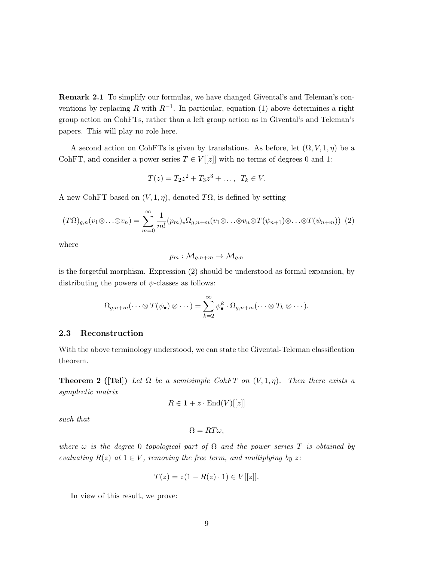Remark 2.1 To simplify our formulas, we have changed Givental's and Teleman's conventions by replacing R with  $R^{-1}$ . In particular, equation (1) above determines a right group action on CohFTs, rather than a left group action as in Givental's and Teleman's papers. This will play no role here.

A second action on CohFTs is given by translations. As before, let  $(\Omega, V, 1, \eta)$  be a CohFT, and consider a power series  $T \in V[[z]]$  with no terms of degrees 0 and 1:

$$
T(z) = T_2 z^2 + T_3 z^3 + \dots, T_k \in V.
$$

A new CohFT based on  $(V, 1, \eta)$ , denoted T $\Omega$ , is defined by setting

$$
(T\Omega)_{g,n}(v_1\otimes\ldots\otimes v_n)=\sum_{m=0}^{\infty}\frac{1}{m!}(p_m)_{\star}\Omega_{g,n+m}(v_1\otimes\ldots\otimes v_n\otimes T(\psi_{n+1})\otimes\ldots\otimes T(\psi_{n+m}))\tag{2}
$$

where

$$
p_m: \overline{\mathcal{M}}_{g,n+m} \to \overline{\mathcal{M}}_{g,n}
$$

is the forgetful morphism. Expression (2) should be understood as formal expansion, by distributing the powers of  $\psi$ -classes as follows:

$$
\Omega_{g,n+m}(\cdots \otimes T(\psi_{\bullet}) \otimes \cdots) = \sum_{k=2}^{\infty} \psi_{\bullet}^{k} \cdot \Omega_{g,n+m}(\cdots \otimes T_{k} \otimes \cdots).
$$

#### 2.3 Reconstruction

With the above terminology understood, we can state the Givental-Teleman classification theorem.

**Theorem 2** ([Tel]) Let  $\Omega$  be a semisimple CohFT on  $(V, 1, \eta)$ . Then there exists a symplectic matrix

$$
R \in \mathbf{1} + z \cdot \text{End}(V)[[z]]
$$

such that

$$
\Omega = RT\omega,
$$

where  $\omega$  is the degree 0 topological part of  $\Omega$  and the power series T is obtained by evaluating  $R(z)$  at  $1 \in V$ , removing the free term, and multiplying by z:

$$
T(z) = z(1 - R(z) \cdot 1) \in V[[z]].
$$

In view of this result, we prove: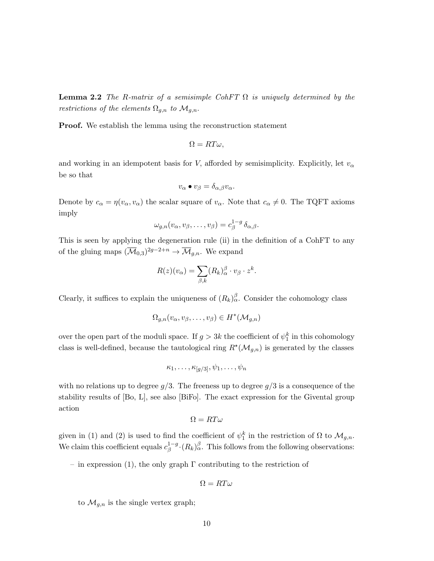**Lemma 2.2** The R-matrix of a semisimple CohFT  $\Omega$  is uniquely determined by the restrictions of the elements  $\Omega_{g,n}$  to  $\mathcal{M}_{g,n}$ .

Proof. We establish the lemma using the reconstruction statement

$$
\Omega = RT\omega,
$$

and working in an idempotent basis for V, afforded by semisimplicity. Explicitly, let  $v_{\alpha}$ be so that

$$
v_{\alpha} \bullet v_{\beta} = \delta_{\alpha,\beta} v_{\alpha}.
$$

Denote by  $c_{\alpha} = \eta(v_{\alpha}, v_{\alpha})$  the scalar square of  $v_{\alpha}$ . Note that  $c_{\alpha} \neq 0$ . The TQFT axioms imply

$$
\omega_{g,n}(v_{\alpha},v_{\beta},\ldots,v_{\beta})=c_{\beta}^{1-g}\,\delta_{\alpha,\beta}.
$$

This is seen by applying the degeneration rule (ii) in the definition of a CohFT to any of the gluing maps  $(\overline{\mathcal{M}}_{0,3})^{2g-2+n} \to \overline{\mathcal{M}}_{g,n}$ . We expand

$$
R(z)(v_{\alpha}) = \sum_{\beta,k} (R_k)_{\alpha}^{\beta} \cdot v_{\beta} \cdot z^k.
$$

Clearly, it suffices to explain the uniqueness of  $(R_k)_{\alpha}^{\beta}$ . Consider the cohomology class

$$
\Omega_{g,n}(v_{\alpha},v_{\beta},\ldots,v_{\beta})\in H^*(\mathcal{M}_{g,n})
$$

over the open part of the moduli space. If  $g > 3k$  the coefficient of  $\psi_1^k$  in this cohomology class is well-defined, because the tautological ring  $R^{\star}(\mathcal{M}_{g,n})$  is generated by the classes

$$
\kappa_1,\ldots,\kappa_{[g/3]},\psi_1,\ldots,\psi_n
$$

with no relations up to degree  $g/3$ . The freeness up to degree  $g/3$  is a consequence of the stability results of [Bo, L], see also [BiFo]. The exact expression for the Givental group action

$$
\Omega = RT\omega
$$

given in (1) and (2) is used to find the coefficient of  $\psi_1^k$  in the restriction of  $\Omega$  to  $\mathcal{M}_{g,n}$ . We claim this coefficient equals  $c_{\beta}^{1-g}$  $\int_{\beta}^{1-g} \cdot (R_k)_{\alpha}^{\beta}$ . This follows from the following observations:

– in expression (1), the only graph  $\Gamma$  contributing to the restriction of

$$
\Omega = RT\omega
$$

to  $\mathcal{M}_{q,n}$  is the single vertex graph;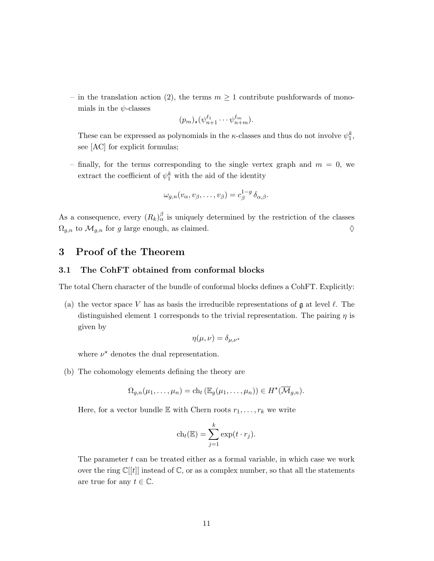– in the translation action (2), the terms  $m \geq 1$  contribute pushforwards of monomials in the  $\psi$ -classes

$$
(p_m)_*(\psi_{n+1}^{\ell_1}\cdots\psi_{n+m}^{\ell_m}).
$$

These can be expressed as polynomials in the *κ*-classes and thus do not involve  $\psi_1^k$ , see [AC] for explicit formulas;

– finally, for the terms corresponding to the single vertex graph and  $m = 0$ , we extract the coefficient of  $\psi_1^k$  with the aid of the identity

$$
\omega_{g,n}(v_{\alpha},v_{\beta},\ldots,v_{\beta})=c_{\beta}^{1-g}\,\delta_{\alpha,\beta}.
$$

As a consequence, every  $(R_k)_{\alpha}^{\beta}$  is uniquely determined by the restriction of the classes  $\Omega_{g,n}$  to  $\mathcal{M}_{g,n}$  for g large enough, as claimed.  $\diamondsuit$ 

# 3 Proof of the Theorem

#### 3.1 The CohFT obtained from conformal blocks

The total Chern character of the bundle of conformal blocks defines a CohFT. Explicitly:

(a) the vector space V has as basis the irreducible representations of  $\mathfrak g$  at level  $\ell$ . The distinguished element 1 corresponds to the trivial representation. The pairing  $\eta$  is given by

$$
\eta(\mu,\nu)=\delta_{\mu,\nu^\star}
$$

where  $\nu^*$  denotes the dual representation.

(b) The cohomology elements defining the theory are

$$
\Omega_{g,n}(\mu_1,\ldots,\mu_n)=\mathrm{ch}_t\left(\mathbb{E}_g(\mu_1,\ldots,\mu_n)\right)\in H^{\star}(\overline{\mathcal{M}}_{g,n}).
$$

Here, for a vector bundle E with Chern roots  $r_1, \ldots, r_k$  we write

$$
ch_t(\mathbb{E}) = \sum_{j=1}^k \exp(t \cdot r_j).
$$

The parameter  $t$  can be treated either as a formal variable, in which case we work over the ring  $\mathbb{C}[[t]]$  instead of  $\mathbb{C}$ , or as a complex number, so that all the statements are true for any  $t \in \mathbb{C}$ .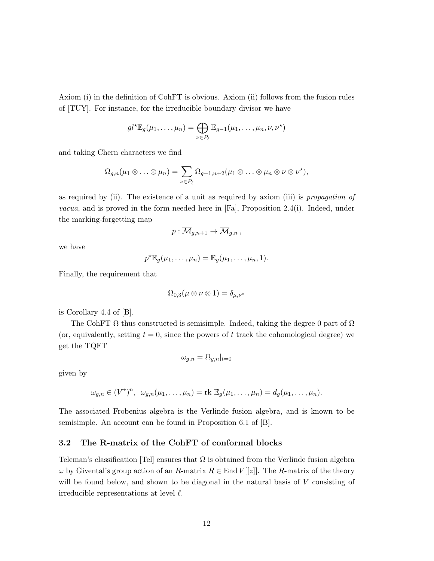Axiom (i) in the definition of CohFT is obvious. Axiom (ii) follows from the fusion rules of [TUY]. For instance, for the irreducible boundary divisor we have

$$
gl^{\star} \mathbb{E}_{g}(\mu_1,\ldots,\mu_n) = \bigoplus_{\nu \in P_{\ell}} \mathbb{E}_{g-1}(\mu_1,\ldots,\mu_n,\nu,\nu^{\star})
$$

and taking Chern characters we find

$$
\Omega_{g,n}(\mu_1 \otimes \ldots \otimes \mu_n) = \sum_{\nu \in P_\ell} \Omega_{g-1,n+2}(\mu_1 \otimes \ldots \otimes \mu_n \otimes \nu \otimes \nu^*),
$$

as required by (ii). The existence of a unit as required by axiom (iii) is propagation of *vacua*, and is proved in the form needed here in [Fa], Proposition 2.4(i). Indeed, under the marking-forgetting map

$$
p:\overline{\mathcal{M}}_{g,n+1}\to\overline{\mathcal{M}}_{g,n}\,,
$$

we have

$$
p^{\star} \mathbb{E}_g(\mu_1,\ldots,\mu_n) = \mathbb{E}_g(\mu_1,\ldots,\mu_n,1).
$$

Finally, the requirement that

$$
\Omega_{0,3}(\mu\otimes\nu\otimes 1)=\delta_{\mu,\nu^*}
$$

is Corollary 4.4 of [B].

The CohFT  $\Omega$  thus constructed is semisimple. Indeed, taking the degree 0 part of  $\Omega$ (or, equivalently, setting  $t = 0$ , since the powers of t track the cohomological degree) we get the TQFT

$$
\omega_{g,n} = \Omega_{g,n}|_{t=0}
$$

given by

$$
\omega_{g,n} \in (V^{\star})^n, \ \omega_{g,n}(\mu_1,\ldots,\mu_n) = \text{rk } \mathbb{E}_g(\mu_1,\ldots,\mu_n) = d_g(\mu_1,\ldots,\mu_n).
$$

The associated Frobenius algebra is the Verlinde fusion algebra, and is known to be semisimple. An account can be found in Proposition 6.1 of [B].

#### 3.2 The R-matrix of the CohFT of conformal blocks

Teleman's classification [Tel] ensures that  $\Omega$  is obtained from the Verlinde fusion algebra  $\omega$  by Givental's group action of an R-matrix  $R \in \text{End } V[[z]]$ . The R-matrix of the theory will be found below, and shown to be diagonal in the natural basis of V consisting of irreducible representations at level  $\ell$ .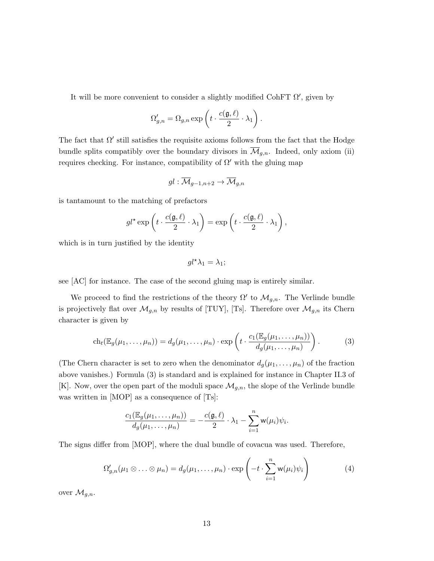It will be more convenient to consider a slightly modified CohFT  $\Omega'$ , given by

$$
\Omega'_{g,n} = \Omega_{g,n} \exp\left(t \cdot \frac{c(\mathfrak{g}, \ell)}{2} \cdot \lambda_1\right).
$$

The fact that  $\Omega'$  still satisfies the requisite axioms follows from the fact that the Hodge bundle splits compatibly over the boundary divisors in  $\mathcal{M}_{g,n}$ . Indeed, only axiom (ii) requires checking. For instance, compatibility of  $\Omega'$  with the gluing map

$$
gl:\overline{\mathcal{M}}_{g-1,n+2}\to\overline{\mathcal{M}}_{g,n}
$$

is tantamount to the matching of prefactors

$$
gl^* \exp\left(t \cdot \frac{c(\mathfrak{g}, \ell)}{2} \cdot \lambda_1\right) = \exp\left(t \cdot \frac{c(\mathfrak{g}, \ell)}{2} \cdot \lambda_1\right),
$$

which is in turn justified by the identity

$$
gl^{\star}\lambda_1=\lambda_1;
$$

see [AC] for instance. The case of the second gluing map is entirely similar.

We proceed to find the restrictions of the theory  $\Omega'$  to  $\mathcal{M}_{g,n}$ . The Verlinde bundle is projectively flat over  $\mathcal{M}_{g,n}$  by results of [TUY], [Ts]. Therefore over  $\mathcal{M}_{g,n}$  its Chern character is given by

$$
\operatorname{ch}_t(\mathbb{E}_g(\mu_1,\ldots,\mu_n)) = d_g(\mu_1,\ldots,\mu_n) \cdot \exp\left(t \cdot \frac{c_1(\mathbb{E}_g(\mu_1,\ldots,\mu_n))}{d_g(\mu_1,\ldots,\mu_n)}\right). \tag{3}
$$

(The Chern character is set to zero when the denominator  $d_g(\mu_1, \ldots, \mu_n)$  of the fraction above vanishes.) Formula (3) is standard and is explained for instance in Chapter II.3 of [K]. Now, over the open part of the moduli space  $\mathcal{M}_{g,n}$ , the slope of the Verlinde bundle was written in [MOP] as a consequence of [Ts]:

$$
\frac{c_1(\mathbb{E}_g(\mu_1,\ldots,\mu_n))}{d_g(\mu_1,\ldots,\mu_n)}=-\frac{c(\mathfrak{g},\ell)}{2}\cdot\lambda_1-\sum_{i=1}^n\mathsf{w}(\mu_i)\psi_i.
$$

The signs differ from [MOP], where the dual bundle of covacua was used. Therefore,

$$
\Omega'_{g,n}(\mu_1 \otimes \ldots \otimes \mu_n) = d_g(\mu_1, \ldots, \mu_n) \cdot \exp\left(-t \cdot \sum_{i=1}^n \mathsf{w}(\mu_i) \psi_i\right) \tag{4}
$$

over  $\mathcal{M}_{g,n}$ .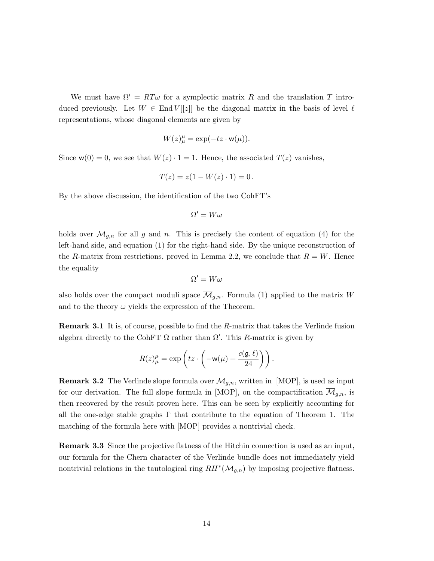We must have  $\Omega' = RT\omega$  for a symplectic matrix R and the translation T introduced previously. Let  $W \in \text{End } V[[z]]$  be the diagonal matrix in the basis of level  $\ell$ representations, whose diagonal elements are given by

$$
W(z)_{\mu}^{\mu} = \exp(-tz \cdot \mathbf{w}(\mu)).
$$

Since  $w(0) = 0$ , we see that  $W(z) \cdot 1 = 1$ . Hence, the associated  $T(z)$  vanishes,

$$
T(z) = z(1 - W(z) \cdot 1) = 0.
$$

By the above discussion, the identification of the two CohFT's

$$
\Omega'=W\omega
$$

holds over  $\mathcal{M}_{g,n}$  for all g and n. This is precisely the content of equation (4) for the left-hand side, and equation (1) for the right-hand side. By the unique reconstruction of the R-matrix from restrictions, proved in Lemma 2.2, we conclude that  $R = W$ . Hence the equality

$$
\Omega'=W\omega
$$

also holds over the compact moduli space  $\overline{\mathcal{M}}_{q,n}$ . Formula (1) applied to the matrix W and to the theory  $\omega$  yields the expression of the Theorem.

Remark 3.1 It is, of course, possible to find the R-matrix that takes the Verlinde fusion algebra directly to the CohFT  $\Omega$  rather than  $\Omega'$ . This R-matrix is given by

$$
R(z)_{\mu}^{\mu} = \exp\left(tz \cdot \left(-\mathsf{w}(\mu) + \frac{c(\mathfrak{g}, \ell)}{24}\right)\right).
$$

**Remark 3.2** The Verlinde slope formula over  $\mathcal{M}_{g,n}$ , written in [MOP], is used as input for our derivation. The full slope formula in [MOP], on the compactification  $\overline{\mathcal{M}}_{g,n}$ , is then recovered by the result proven here. This can be seen by explicitly accounting for all the one-edge stable graphs  $\Gamma$  that contribute to the equation of Theorem 1. The matching of the formula here with [MOP] provides a nontrivial check.

Remark 3.3 Since the projective flatness of the Hitchin connection is used as an input, our formula for the Chern character of the Verlinde bundle does not immediately yield nontrivial relations in the tautological ring  $RH^*(\mathcal{M}_{g,n})$  by imposing projective flatness.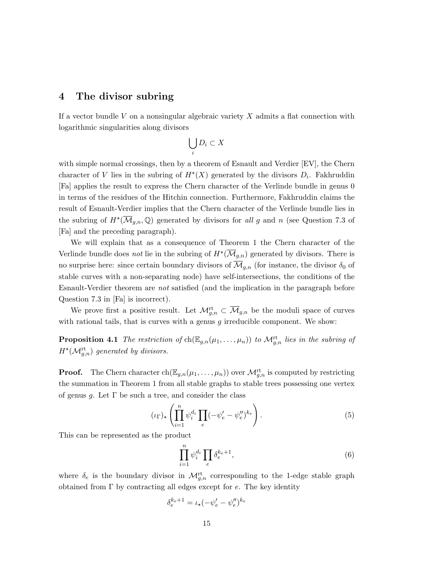### 4 The divisor subring

If a vector bundle  $V$  on a nonsingular algebraic variety  $X$  admits a flat connection with logarithmic singularities along divisors

$$
\bigcup_i D_i \subset X
$$

with simple normal crossings, then by a theorem of Esnault and Verdier [EV], the Chern character of V lies in the subring of  $H^*(X)$  generated by the divisors  $D_i$ . Fakhruddin [Fa] applies the result to express the Chern character of the Verlinde bundle in genus 0 in terms of the residues of the Hitchin connection. Furthermore, Fakhruddin claims the result of Esnault-Verdier implies that the Chern character of the Verlinde bundle lies in the subring of  $H^{\star}(\overline{\mathcal{M}}_{g,n},\mathbb{Q})$  generated by divisors for all g and n (see Question 7.3 of [Fa] and the preceding paragraph).

We will explain that as a consequence of Theorem 1 the Chern character of the Verlinde bundle does *not* lie in the subring of  $H^{\star}(\overline{\mathcal{M}}_{g,n})$  generated by divisors. There is no surprise here: since certain boundary divisors of  $\overline{\mathcal{M}}_{q,n}$  (for instance, the divisor  $\delta_0$  of stable curves with a non-separating node) have self-intersections, the conditions of the Esnault-Verdier theorem are not satisfied (and the implication in the paragraph before Question 7.3 in [Fa] is incorrect).

We prove first a positive result. Let  $\mathcal{M}_{g,n}^{\mathrm{rt}} \subset \overline{\mathcal{M}}_{g,n}$  be the moduli space of curves with rational tails, that is curves with a genus  $g$  irreducible component. We show:

**Proposition 4.1** The restriction of  $\text{ch}(\mathbb{E}_{g,n}(\mu_1,\ldots,\mu_n))$  to  $\mathcal{M}_{g,n}^{\text{rt}}$  lies in the subring of  $H^{\star}(\mathcal{M}_{g,n}^{\mathrm{rt}})$  generated by divisors.

**Proof.** The Chern character  $\text{ch}(\mathbb{E}_{g,n}(\mu_1,\ldots,\mu_n))$  over  $\mathcal{M}_{g,n}^{\text{rt}}$  is computed by restricting the summation in Theorem 1 from all stable graphs to stable trees possessing one vertex of genus g. Let  $\Gamma$  be such a tree, and consider the class

$$
(\iota_{\Gamma})_{\star} \left( \prod_{i=1}^{n} \psi_i^{d_i} \prod_e (-\psi'_e - \psi''_e)^{k_e} \right). \tag{5}
$$

This can be represented as the product

$$
\prod_{i=1}^{n} \psi_i^{d_i} \prod_e \delta_e^{k_e+1},\tag{6}
$$

where  $\delta_e$  is the boundary divisor in  $\mathcal{M}_{g,n}^{\text{rt}}$  corresponding to the 1-edge stable graph obtained from  $\Gamma$  by contracting all edges except for e. The key identity

$$
\delta_e^{k_e+1} = \iota_\star (-\psi'_e - \psi''_e)^{k_e}
$$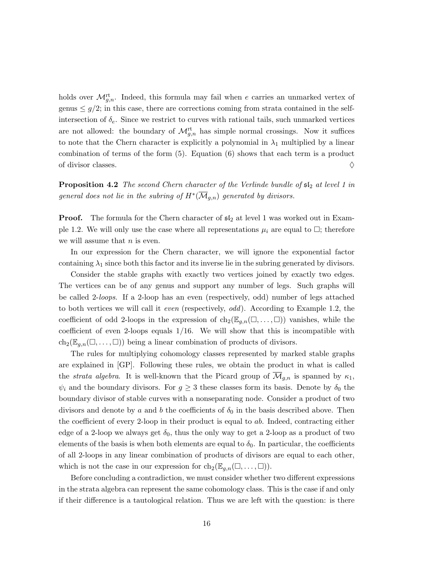holds over  $\mathcal{M}_{g,n}^{\text{rt}}$ . Indeed, this formula may fail when e carries an unmarked vertex of genus  $\leq$  g/2; in this case, there are corrections coming from strata contained in the selfintersection of  $\delta_e$ . Since we restrict to curves with rational tails, such unmarked vertices are not allowed: the boundary of  $\mathcal{M}_{g,n}^{\text{rt}}$  has simple normal crossings. Now it suffices to note that the Chern character is explicitly a polynomial in  $\lambda_1$  multiplied by a linear combination of terms of the form (5). Equation (6) shows that each term is a product of divisor classes.  $\Diamond$ 

**Proposition 4.2** The second Chern character of the Verlinde bundle of  $sI_2$  at level 1 in general does not lie in the subring of  $H^*(\overline{\mathcal{M}}_{g,n})$  generated by divisors.

**Proof.** The formula for the Chern character of  $\mathfrak{sl}_2$  at level 1 was worked out in Example 1.2. We will only use the case where all representations  $\mu_i$  are equal to  $\Box$ ; therefore we will assume that  $n$  is even.

In our expression for the Chern character, we will ignore the exponential factor containing  $\lambda_1$  since both this factor and its inverse lie in the subring generated by divisors.

Consider the stable graphs with exactly two vertices joined by exactly two edges. The vertices can be of any genus and support any number of legs. Such graphs will be called 2-loops. If a 2-loop has an even (respectively, odd) number of legs attached to both vertices we will call it even (respectively, odd). According to Example 1.2, the coefficient of odd 2-loops in the expression of  $ch_2(\mathbb{E}_{q,n}(\square, \dots, \square))$  vanishes, while the coefficient of even 2-loops equals  $1/16$ . We will show that this is incompatible with  $ch_2(\mathbb{E}_{q,n}(\square,\ldots,\square))$  being a linear combination of products of divisors.

The rules for multiplying cohomology classes represented by marked stable graphs are explained in [GP]. Following these rules, we obtain the product in what is called the *strata algebra*. It is well-known that the Picard group of  $\mathcal{M}_{g,n}$  is spanned by  $\kappa_1$ ,  $\psi_i$  and the boundary divisors. For  $g \geq 3$  these classes form its basis. Denote by  $\delta_0$  the boundary divisor of stable curves with a nonseparating node. Consider a product of two divisors and denote by a and b the coefficients of  $\delta_0$  in the basis described above. Then the coefficient of every 2-loop in their product is equal to ab. Indeed, contracting either edge of a 2-loop we always get  $\delta_0$ , thus the only way to get a 2-loop as a product of two elements of the basis is when both elements are equal to  $\delta_0$ . In particular, the coefficients of all 2-loops in any linear combination of products of divisors are equal to each other, which is not the case in our expression for  $\text{ch}_2(\mathbb{E}_{q,n}(\square, \dots, \square)).$ 

Before concluding a contradiction, we must consider whether two different expressions in the strata algebra can represent the same cohomology class. This is the case if and only if their difference is a tautological relation. Thus we are left with the question: is there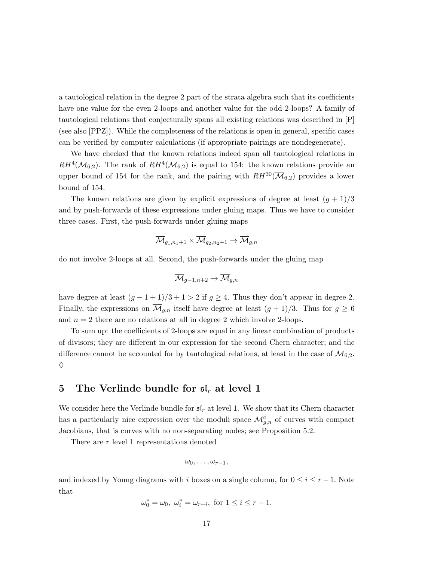a tautological relation in the degree 2 part of the strata algebra such that its coefficients have one value for the even 2-loops and another value for the odd 2-loops? A family of tautological relations that conjecturally spans all existing relations was described in [P] (see also [PPZ]). While the completeness of the relations is open in general, specific cases can be verified by computer calculations (if appropriate pairings are nondegenerate).

We have checked that the known relations indeed span all tautological relations in  $RH^4(\overline{\mathcal{M}}_{6,2})$ . The rank of  $RH^4(\overline{\mathcal{M}}_{6,2})$  is equal to 154: the known relations provide an upper bound of 154 for the rank, and the pairing with  $RH^{30}(\overline{\mathcal{M}}_{6,2})$  provides a lower bound of 154.

The known relations are given by explicit expressions of degree at least  $(g + 1)/3$ and by push-forwards of these expressions under gluing maps. Thus we have to consider three cases. First, the push-forwards under gluing maps

$$
\overline{\mathcal{M}}_{g_1, n_1+1} \times \overline{\mathcal{M}}_{g_2, n_2+1} \to \overline{\mathcal{M}}_{g, n}
$$

do not involve 2-loops at all. Second, the push-forwards under the gluing map

$$
\overline{\mathcal{M}}_{g-1,n+2}\to\overline{\mathcal{M}}_{g,n}
$$

have degree at least  $(g - 1 + 1)/3 + 1 > 2$  if  $g \ge 4$ . Thus they don't appear in degree 2. Finally, the expressions on  $\overline{\mathcal{M}}_{g,n}$  itself have degree at least  $(g+1)/3$ . Thus for  $g \geq 6$ and  $n = 2$  there are no relations at all in degree 2 which involve 2-loops.

To sum up: the coefficients of 2-loops are equal in any linear combination of products of divisors; they are different in our expression for the second Chern character; and the difference cannot be accounted for by tautological relations, at least in the case of  $\mathcal{M}_{6,2}$ . ♦

## 5 The Verlinde bundle for  $\mathfrak{sl}_r$  at level 1

We consider here the Verlinde bundle for  $\mathfrak{sl}_r$  at level 1. We show that its Chern character has a particularly nice expression over the moduli space  $\mathcal{M}_{g,n}^c$  of curves with compact Jacobians, that is curves with no non-separating nodes; see Proposition 5.2.

There are r level 1 representations denoted

$$
\omega_0,\ldots,\omega_{r-1},
$$

and indexed by Young diagrams with i boxes on a single column, for  $0 \leq i \leq r-1$ . Note that

$$
\omega_0^* = \omega_0, \ \omega_i^* = \omega_{r-i}, \text{ for } 1 \leq i \leq r-1.
$$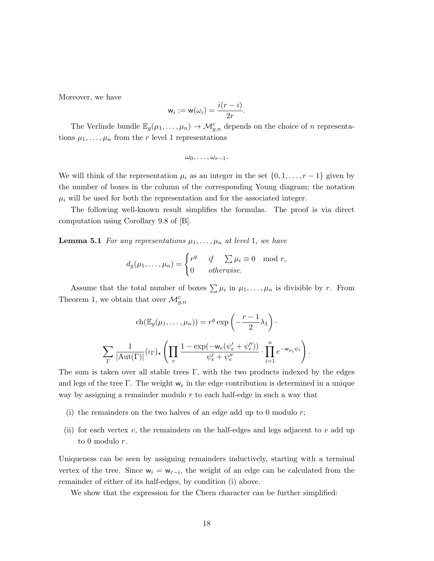Moreover, we have

$$
w_i := w(\omega_i) = \frac{i(r - i)}{2r}.
$$

The Verlinde bundle  $\mathbb{E}_g(\mu_1,\ldots,\mu_n) \to \mathcal{M}_{g,n}^c$  depends on the choice of n representations  $\mu_1, \ldots, \mu_n$  from the r level 1 representations

$$
\omega_0,\ldots,\omega_{r-1}.
$$

We will think of the representation  $\mu_i$  as an integer in the set  $\{0, 1, \ldots, r-1\}$  given by the number of boxes in the column of the corresponding Young diagram; the notation  $\mu_i$  will be used for both the representation and for the associated integer.

The following well-known result simplifies the formulas. The proof is via direct computation using Corollary 9.8 of [B].

**Lemma 5.1** For any representations  $\mu_1, \ldots, \mu_n$  at level 1, we have

$$
d_g(\mu_1,\ldots,\mu_n) = \begin{cases} r^g & \text{if } \sum \mu_i \equiv 0 \mod r, \\ 0 & \text{otherwise.} \end{cases}
$$

Assume that the total number of boxes  $\sum \mu_i$  in  $\mu_1, \ldots, \mu_n$  is divisible by r. From Theorem 1, we obtain that over  $\mathcal{M}_{g,n}^c$ 

$$
\operatorname{ch}(\mathbb{E}_g(\mu_1, \dots, \mu_n)) = r^g \exp\left(-\frac{r-1}{2}\lambda_1\right).
$$

$$
\sum_{\Gamma} \frac{1}{|\operatorname{Aut}(\Gamma)|} (\iota_{\Gamma})_{\star} \left(\prod_e \frac{1 - \exp(-\mathsf{w}_e(\psi_e' + \psi_e''))}{\psi_e' + \psi_e''} \cdot \prod_{i=1}^n e^{-\mathsf{w}_{\mu_i}\psi_i}\right)
$$

.

The sum is taken over all stable trees  $\Gamma$ , with the two products indexed by the edges and legs of the tree Γ. The weight  $w_e$  in the edge contribution is determined in a unique way by assigning a remainder modulo  $r$  to each half-edge in such a way that

- (i) the remainders on the two halves of an edge add up to 0 modulo  $r$ ;
- (ii) for each vertex  $v$ , the remainders on the half-edges and legs adjacent to  $v$  add up to 0 modulo r.

Uniqueness can be seen by assigning remainders inductively, starting with a terminal vertex of the tree. Since  $w_i = w_{r-i}$ , the weight of an edge can be calculated from the remainder of either of its half-edges, by condition (i) above.

We show that the expression for the Chern character can be further simplified: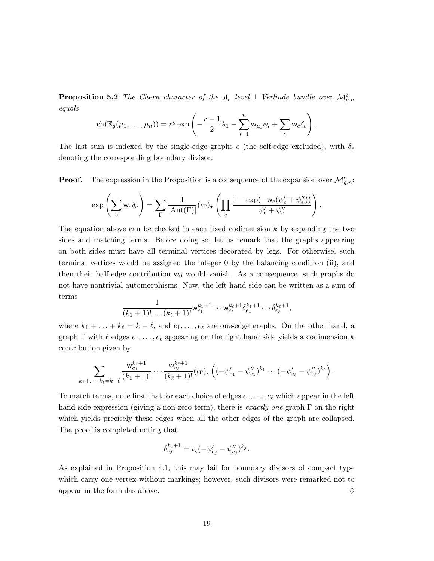**Proposition 5.2** The Chern character of the  $\mathfrak{sl}_r$  level 1 Verlinde bundle over  $\mathcal{M}_{g,n}^c$ equals

$$
\operatorname{ch}(\mathbb{E}_g(\mu_1,\ldots,\mu_n))=r^g\exp\left(-\frac{r-1}{2}\lambda_1-\sum_{i=1}^n\mathsf{w}_{\mu_i}\psi_i+\sum_e\mathsf{w}_e\delta_e\right).
$$

The last sum is indexed by the single-edge graphs e (the self-edge excluded), with  $\delta_e$ denoting the corresponding boundary divisor.

**Proof.** The expression in the Proposition is a consequence of the expansion over  $\mathcal{M}_{g,n}^c$ .

$$
\exp\left(\sum_e w_e \delta_e\right) = \sum_{\Gamma} \frac{1}{|\mathrm{Aut}(\Gamma)|} (\iota_{\Gamma})_{\star} \left(\prod_e \frac{1 - \exp(-w_e(\psi_e' + \psi_e''))}{\psi_e' + \psi_e''}\right).
$$

The equation above can be checked in each fixed codimension  $k$  by expanding the two sides and matching terms. Before doing so, let us remark that the graphs appearing on both sides must have all terminal vertices decorated by legs. For otherwise, such terminal vertices would be assigned the integer 0 by the balancing condition (ii), and then their half-edge contribution  $w_0$  would vanish. As a consequence, such graphs do not have nontrivial automorphisms. Now, the left hand side can be written as a sum of terms

$$
\frac{1}{(k_1+1)!\dots(k_\ell+1)!} \mathsf{w}_{e_1}^{k_1+1}\cdots \mathsf{w}_{e_\ell}^{k_\ell+1} \delta_{e_1}^{k_1+1}\cdots \delta_{e_\ell}^{k_\ell+1},
$$

where  $k_1 + \ldots + k_\ell = k - \ell$ , and  $e_1, \ldots, e_\ell$  are one-edge graphs. On the other hand, a graph  $\Gamma$  with  $\ell$  edges  $e_1, \ldots, e_\ell$  appearing on the right hand side yields a codimension k contribution given by

$$
\sum_{k_1+\ldots+k_\ell=k-\ell}\frac{\mathsf{w}_{e_1}^{k_1+1}}{(k_1+1)!}\cdots\frac{\mathsf{w}_{e_\ell}^{k_\ell+1}}{(k_\ell+1)!}(\iota_{\Gamma})_\star\left((-\psi'_{e_1}-\psi''_{e_1})^{k_1}\cdots(-\psi'_{e_\ell}-\psi''_{e_\ell})^{k_\ell}\right).
$$

To match terms, note first that for each choice of edges  $e_1, \ldots, e_\ell$  which appear in the left hand side expression (giving a non-zero term), there is *exactly one* graph  $\Gamma$  on the right which yields precisely these edges when all the other edges of the graph are collapsed. The proof is completed noting that

$$
\delta_{e_j}^{k_j+1} = \iota_\star (-\psi'_{e_j} - \psi''_{e_j})^{k_j}.
$$

As explained in Proposition 4.1, this may fail for boundary divisors of compact type which carry one vertex without markings; however, such divisors were remarked not to appear in the formulas above.  $\Diamond$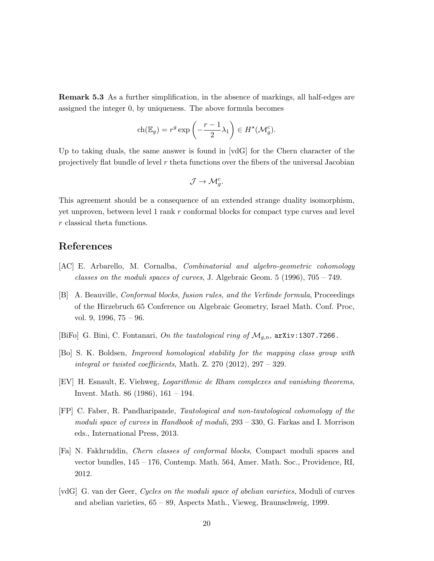Remark 5.3 As a further simplification, in the absence of markings, all half-edges are assigned the integer 0, by uniqueness. The above formula becomes

$$
\operatorname{ch}(\mathbb{E}_g) = r^g \exp\left(-\frac{r-1}{2}\lambda_1\right) \in H^{\star}(\mathcal{M}_g^c).
$$

Up to taking duals, the same answer is found in [vdG] for the Chern character of the projectively flat bundle of level  $r$  theta functions over the fibers of the universal Jacobian

$$
\mathcal{J} \to \mathcal{M}_g^c.
$$

This agreement should be a consequence of an extended strange duality isomorphism, yet unproven, between level 1 rank r conformal blocks for compact type curves and level r classical theta functions.

# References

- [AC] E. Arbarello, M. Cornalba, Combinatorial and algebro-geometric cohomology classes on the moduli spaces of curves, J. Algebraic Geom.  $5$  (1996), 705 – 749.
- [B] A. Beauville, Conformal blocks, fusion rules, and the Verlinde formula, Proceedings of the Hirzebruch 65 Conference on Algebraic Geometry, Israel Math. Conf. Proc, vol. 9, 1996, 75 – 96.
- [BiFo] G. Bini, C. Fontanari, On the tautological ring of  $\mathcal{M}_{q,n}$ , arXiv:1307.7266.
- [Bo] S. K. Boldsen, Improved homological stability for the mapping class group with integral or twisted coefficients, Math. Z.  $270$   $(2012)$ ,  $297 - 329$ .
- [EV] H. Esnault, E. Viehweg, Logarithmic de Rham complexes and vanishing theorems, Invent. Math. 86 (1986), 161 – 194.
- [FP] C. Faber, R. Pandharipande, Tautological and non-tautological cohomology of the moduli space of curves in Handbook of moduli, 293 – 330, G. Farkas and I. Morrison eds., International Press, 2013.
- [Fa] N. Fakhruddin, Chern classes of conformal blocks, Compact moduli spaces and vector bundles, 145 – 176, Contemp. Math. 564, Amer. Math. Soc., Providence, RI, 2012.
- [vdG] G. van der Geer, Cycles on the moduli space of abelian varieties, Moduli of curves and abelian varieties, 65 – 89, Aspects Math., Vieweg, Braunschweig, 1999.